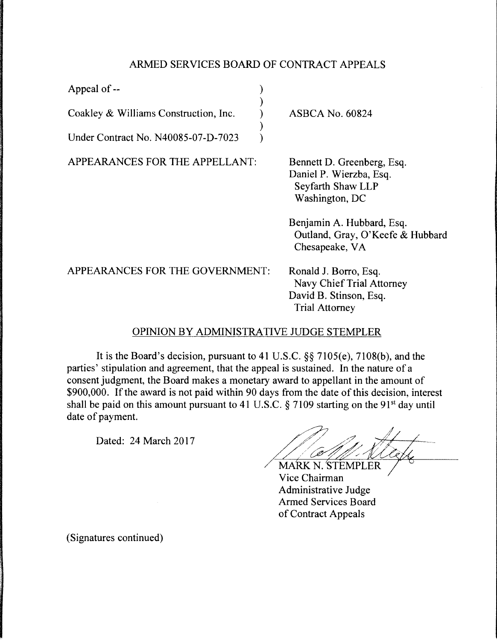## ARMED SERVICES BOARD OF CONTRACT APPEALS

) ) ) ) )

| Appeal of --                          |  |
|---------------------------------------|--|
| Coakley & Williams Construction, Inc. |  |
| Under Contract No. N40085-07-D-7023   |  |

APPEARANCES FOR THE APPELLANT:

ASBCA No. 60824

Bennett D. Greenberg, Esq. Daniel P. Wierzba, Esq. Seyfarth Shaw LLP Washington, DC

Benjamin A. Hubbard, Esq. Outland, Gray, O'Keefe & Hubbard Chesapeake, VA

APPEARANCES FOR THE GOVERNMENT: Ronald J. Borro, Esq. Navy Chief Trial Attorney David B. Stinson, Esq. Trial Attorney

## OPINION BY ADMINISTRATIVE JUDGE STEMPLER

It is the Board's decision, pursuant to 41 U.S.C. §§ 7105(e), 7108(b), and the parties' stipulation and agreement, that the appeal is sustained. In the nature of a consent judgment, the Board makes a monetary award to appellant in the amount of \$900,000. If the award is not paid within 90 days from the date of this decision, interest shall be paid on this amount pursuant to 41 U.S.C.  $\S$  7109 starting on the 91<sup>st</sup> day until date of payment.

Dated: 24 March 2017

/ **MARK N. STEMPLER** 

Vice Chairman Administrative Judge Armed Services Board of Contract Appeals

(Signatures continued)